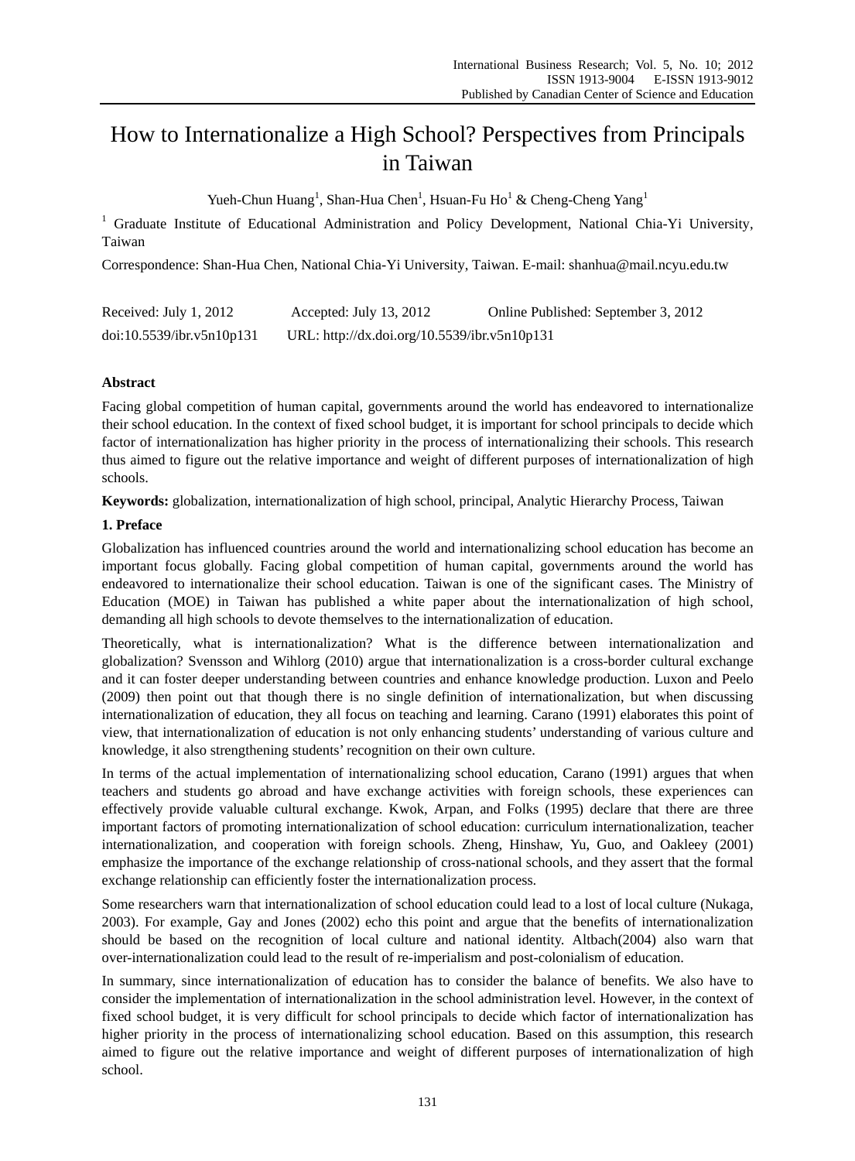# How to Internationalize a High School? Perspectives from Principals in Taiwan

Yueh-Chun Huang<sup>1</sup>, Shan-Hua Chen<sup>1</sup>, Hsuan-Fu Ho<sup>1</sup> & Cheng-Cheng Yang<sup>1</sup>

<sup>1</sup> Graduate Institute of Educational Administration and Policy Development, National Chia-Yi University, Taiwan

Correspondence: Shan-Hua Chen, National Chia-Yi University, Taiwan. E-mail: shanhua@mail.ncyu.edu.tw

| Received: July 1, 2012    | Accepted: July 13, 2012                      | Online Published: September 3, 2012 |
|---------------------------|----------------------------------------------|-------------------------------------|
| doi:10.5539/ibr.v5n10p131 | URL: http://dx.doi.org/10.5539/ibr.v5n10p131 |                                     |

# **Abstract**

Facing global competition of human capital, governments around the world has endeavored to internationalize their school education. In the context of fixed school budget, it is important for school principals to decide which factor of internationalization has higher priority in the process of internationalizing their schools. This research thus aimed to figure out the relative importance and weight of different purposes of internationalization of high schools.

**Keywords:** globalization, internationalization of high school, principal, Analytic Hierarchy Process, Taiwan

# **1. Preface**

Globalization has influenced countries around the world and internationalizing school education has become an important focus globally. Facing global competition of human capital, governments around the world has endeavored to internationalize their school education. Taiwan is one of the significant cases. The Ministry of Education (MOE) in Taiwan has published a white paper about the internationalization of high school, demanding all high schools to devote themselves to the internationalization of education.

Theoretically, what is internationalization? What is the difference between internationalization and globalization? Svensson and Wihlorg (2010) argue that internationalization is a cross-border cultural exchange and it can foster deeper understanding between countries and enhance knowledge production. Luxon and Peelo (2009) then point out that though there is no single definition of internationalization, but when discussing internationalization of education, they all focus on teaching and learning. Carano (1991) elaborates this point of view, that internationalization of education is not only enhancing students' understanding of various culture and knowledge, it also strengthening students' recognition on their own culture.

In terms of the actual implementation of internationalizing school education, Carano (1991) argues that when teachers and students go abroad and have exchange activities with foreign schools, these experiences can effectively provide valuable cultural exchange. Kwok, Arpan, and Folks (1995) declare that there are three important factors of promoting internationalization of school education: curriculum internationalization, teacher internationalization, and cooperation with foreign schools. Zheng, Hinshaw, Yu, Guo, and Oakleey (2001) emphasize the importance of the exchange relationship of cross-national schools, and they assert that the formal exchange relationship can efficiently foster the internationalization process.

Some researchers warn that internationalization of school education could lead to a lost of local culture (Nukaga, 2003). For example, Gay and Jones (2002) echo this point and argue that the benefits of internationalization should be based on the recognition of local culture and national identity. Altbach(2004) also warn that over-internationalization could lead to the result of re-imperialism and post-colonialism of education.

In summary, since internationalization of education has to consider the balance of benefits. We also have to consider the implementation of internationalization in the school administration level. However, in the context of fixed school budget, it is very difficult for school principals to decide which factor of internationalization has higher priority in the process of internationalizing school education. Based on this assumption, this research aimed to figure out the relative importance and weight of different purposes of internationalization of high school.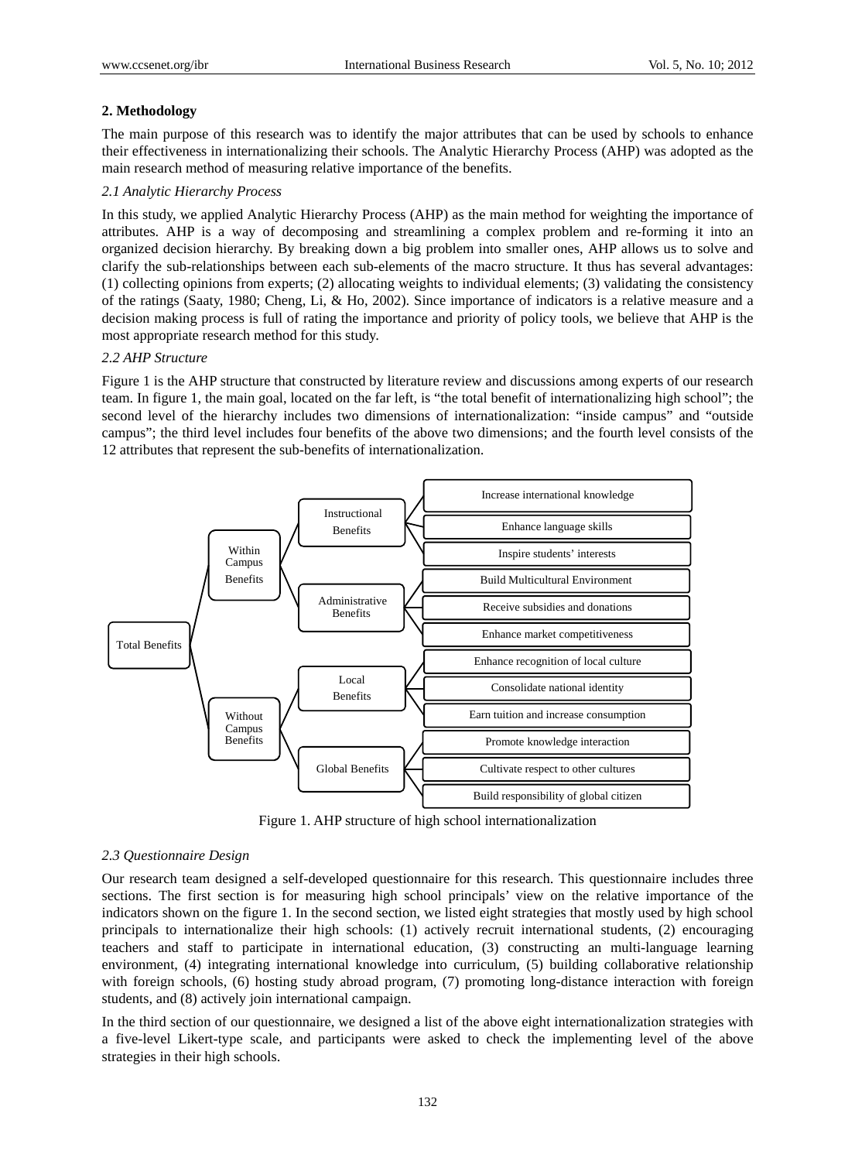## **2. Methodology**

The main purpose of this research was to identify the major attributes that can be used by schools to enhance their effectiveness in internationalizing their schools. The Analytic Hierarchy Process (AHP) was adopted as the main research method of measuring relative importance of the benefits.

## *2.1 Analytic Hierarchy Process*

In this study, we applied Analytic Hierarchy Process (AHP) as the main method for weighting the importance of attributes. AHP is a way of decomposing and streamlining a complex problem and re-forming it into an organized decision hierarchy. By breaking down a big problem into smaller ones, AHP allows us to solve and clarify the sub-relationships between each sub-elements of the macro structure. It thus has several advantages: (1) collecting opinions from experts; (2) allocating weights to individual elements; (3) validating the consistency of the ratings (Saaty, 1980; Cheng, Li, & Ho, 2002). Since importance of indicators is a relative measure and a decision making process is full of rating the importance and priority of policy tools, we believe that AHP is the most appropriate research method for this study.

## *2.2 AHP Structure*

Figure 1 is the AHP structure that constructed by literature review and discussions among experts of our research team. In figure 1, the main goal, located on the far left, is "the total benefit of internationalizing high school"; the second level of the hierarchy includes two dimensions of internationalization: "inside campus" and "outside campus"; the third level includes four benefits of the above two dimensions; and the fourth level consists of the 12 attributes that represent the sub-benefits of internationalization.



Figure 1. AHP structure of high school internationalization

#### *2.3 Questionnaire Design*

Our research team designed a self-developed questionnaire for this research. This questionnaire includes three sections. The first section is for measuring high school principals' view on the relative importance of the indicators shown on the figure 1. In the second section, we listed eight strategies that mostly used by high school principals to internationalize their high schools: (1) actively recruit international students, (2) encouraging teachers and staff to participate in international education, (3) constructing an multi-language learning environment, (4) integrating international knowledge into curriculum, (5) building collaborative relationship with foreign schools, (6) hosting study abroad program, (7) promoting long-distance interaction with foreign students, and (8) actively join international campaign.

In the third section of our questionnaire, we designed a list of the above eight internationalization strategies with a five-level Likert-type scale, and participants were asked to check the implementing level of the above strategies in their high schools.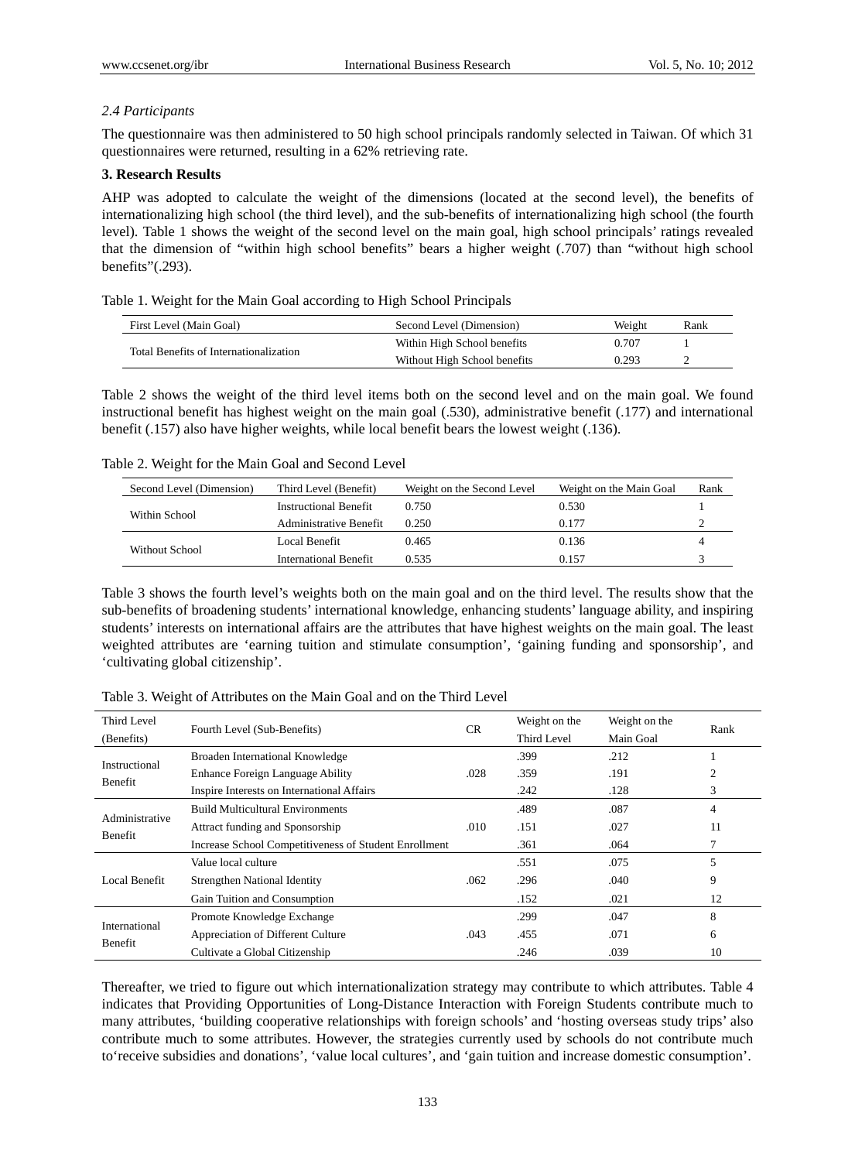# *2.4 Participants*

The questionnaire was then administered to 50 high school principals randomly selected in Taiwan. Of which 31 questionnaires were returned, resulting in a 62% retrieving rate.

# **3. Research Results**

AHP was adopted to calculate the weight of the dimensions (located at the second level), the benefits of internationalizing high school (the third level), and the sub-benefits of internationalizing high school (the fourth level). Table 1 shows the weight of the second level on the main goal, high school principals' ratings revealed that the dimension of "within high school benefits" bears a higher weight (.707) than "without high school benefits"(.293).

|  |  |  | Table 1. Weight for the Main Goal according to High School Principals |  |  |
|--|--|--|-----------------------------------------------------------------------|--|--|
|  |  |  |                                                                       |  |  |

| First Level (Main Goal)                | Second Level (Dimension)     | Weight | Rank |
|----------------------------------------|------------------------------|--------|------|
|                                        | Within High School benefits  | 0.707  |      |
| Total Benefits of Internationalization | Without High School benefits | 0.293  |      |

Table 2 shows the weight of the third level items both on the second level and on the main goal. We found instructional benefit has highest weight on the main goal (.530), administrative benefit (.177) and international benefit (.157) also have higher weights, while local benefit bears the lowest weight (.136).

## Table 2. Weight for the Main Goal and Second Level

| Second Level (Dimension) | Third Level (Benefit)         | Weight on the Second Level | Weight on the Main Goal | Rank |
|--------------------------|-------------------------------|----------------------------|-------------------------|------|
|                          | <b>Instructional Benefit</b>  | 0.750                      | 0.530                   |      |
| Within School            | <b>Administrative Benefit</b> | 0.250                      | 0.177                   |      |
|                          | Local Benefit                 | 0.465                      | 0.136                   |      |
| Without School           | International Benefit         | 0.535                      | 0.157                   |      |

Table 3 shows the fourth level's weights both on the main goal and on the third level. The results show that the sub-benefits of broadening students' international knowledge, enhancing students' language ability, and inspiring students' interests on international affairs are the attributes that have highest weights on the main goal. The least weighted attributes are 'earning tuition and stimulate consumption', 'gaining funding and sponsorship', and 'cultivating global citizenship'.

| Third Level    | Fourth Level (Sub-Benefits)                           |           | Weight on the | Weight on the | Rank |
|----------------|-------------------------------------------------------|-----------|---------------|---------------|------|
| (Benefits)     |                                                       | <b>CR</b> | Third Level   | Main Goal     |      |
| Instructional  | Broaden International Knowledge                       |           | .399          | .212          |      |
| Benefit        | <b>Enhance Foreign Language Ability</b>               | .028      | .359          | .191          | 2    |
|                | Inspire Interests on International Affairs            |           | .242          | .128          | 3    |
| Administrative | <b>Build Multicultural Environments</b>               |           | .489          | .087          | 4    |
| Benefit        | Attract funding and Sponsorship                       | .010      | .151          | .027          | 11   |
|                | Increase School Competitiveness of Student Enrollment |           | .361          | .064          |      |
|                | Value local culture                                   |           | .551          | .075          | 5    |
| Local Benefit  | Strengthen National Identity                          | .062      | .296          | .040          | 9    |
|                | Gain Tuition and Consumption                          |           | .152          | .021          | 12   |
| International  | Promote Knowledge Exchange                            |           | .299          | .047          | 8    |
|                | Appreciation of Different Culture                     | .043      | .455          | .071          | 6    |
| Benefit        | Cultivate a Global Citizenship                        |           | .246          | .039          | 10   |

Table 3. Weight of Attributes on the Main Goal and on the Third Level

Thereafter, we tried to figure out which internationalization strategy may contribute to which attributes. Table 4 indicates that Providing Opportunities of Long-Distance Interaction with Foreign Students contribute much to many attributes, 'building cooperative relationships with foreign schools' and 'hosting overseas study trips' also contribute much to some attributes. However, the strategies currently used by schools do not contribute much to'receive subsidies and donations', 'value local cultures', and 'gain tuition and increase domestic consumption'.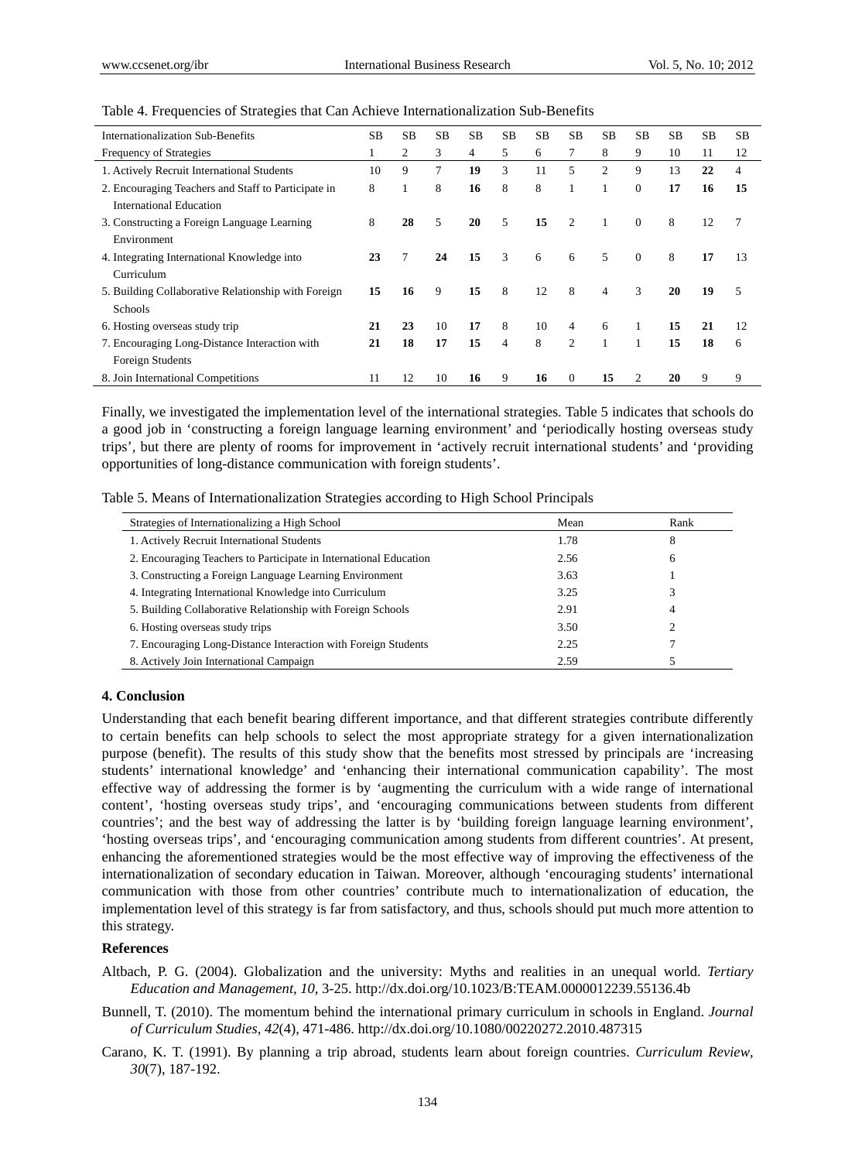| <b>Internationalization Sub-Benefits</b>            | <b>SB</b> | <b>SB</b> | <b>SB</b> | <b>SB</b>      | <b>SB</b>      | <b>SB</b> | <b>SB</b>      | <b>SB</b>      | <b>SB</b>    | <b>SB</b> | <b>SB</b> | <b>SB</b> |
|-----------------------------------------------------|-----------|-----------|-----------|----------------|----------------|-----------|----------------|----------------|--------------|-----------|-----------|-----------|
| Frequency of Strategies                             |           | 2         | 3         | $\overline{4}$ | 5              | 6         | 7              | 8              | 9            | 10        | 11        | 12        |
| 1. Actively Recruit International Students          | 10        | 9         | 7         | 19             | 3              | 11        | 5              | $\overline{2}$ | 9            | 13        | 22        | 4         |
| 2. Encouraging Teachers and Staff to Participate in | 8         |           | 8         | 16             | 8              | 8         |                |                | $\mathbf{0}$ | 17        | 16        | 15        |
| International Education                             |           |           |           |                |                |           |                |                |              |           |           |           |
| 3. Constructing a Foreign Language Learning         | 8         | 28        | 5         | 20             | 5              | 15        | 2              |                | $\Omega$     | 8         | 12        | 7         |
| Environment                                         |           |           |           |                |                |           |                |                |              |           |           |           |
| 4. Integrating International Knowledge into         | 23        | 7         | 24        | 15             | 3              | 6         | 6              | 5              | $\Omega$     | 8         | 17        | 13        |
| Curriculum                                          |           |           |           |                |                |           |                |                |              |           |           |           |
| 5. Building Collaborative Relationship with Foreign | 15        | 16        | 9         | 15             | 8              | 12        | 8              | $\overline{4}$ | 3            | 20        | 19        | 5         |
| Schools                                             |           |           |           |                |                |           |                |                |              |           |           |           |
| 6. Hosting overseas study trip                      | 21        | 23        | 10        | 17             | 8              | 10        | $\overline{4}$ | 6              |              | 15        | 21        | 12        |
| 7. Encouraging Long-Distance Interaction with       | 21        | 18        | 17        | 15             | $\overline{4}$ | 8         | $\overline{2}$ |                |              | 15        | 18        | 6         |
| Foreign Students                                    |           |           |           |                |                |           |                |                |              |           |           |           |
| 8. Join International Competitions                  | 11        | 12        | 10        | 16             | 9              | 16        | $\Omega$       | 15             | 2            | 20        | 9         | 9         |

#### Table 4. Frequencies of Strategies that Can Achieve Internationalization Sub-Benefits

Finally, we investigated the implementation level of the international strategies. Table 5 indicates that schools do a good job in 'constructing a foreign language learning environment' and 'periodically hosting overseas study trips', but there are plenty of rooms for improvement in 'actively recruit international students' and 'providing opportunities of long-distance communication with foreign students'.

|  | Table 5. Means of Internationalization Strategies according to High School Principals |  |  |  |  |  |
|--|---------------------------------------------------------------------------------------|--|--|--|--|--|
|  |                                                                                       |  |  |  |  |  |

| Strategies of Internationalizing a High School                    | Mean | Rank |
|-------------------------------------------------------------------|------|------|
| 1. Actively Recruit International Students                        | 1.78 | 8    |
| 2. Encouraging Teachers to Participate in International Education | 2.56 | 6    |
| 3. Constructing a Foreign Language Learning Environment           | 3.63 |      |
| 4. Integrating International Knowledge into Curriculum            | 3.25 |      |
| 5. Building Collaborative Relationship with Foreign Schools       | 2.91 | 4    |
| 6. Hosting overseas study trips                                   | 3.50 |      |
| 7. Encouraging Long-Distance Interaction with Foreign Students    | 2.25 |      |
| 8. Actively Join International Campaign                           | 2.59 |      |

#### **4. Conclusion**

Understanding that each benefit bearing different importance, and that different strategies contribute differently to certain benefits can help schools to select the most appropriate strategy for a given internationalization purpose (benefit). The results of this study show that the benefits most stressed by principals are 'increasing students' international knowledge' and 'enhancing their international communication capability'. The most effective way of addressing the former is by 'augmenting the curriculum with a wide range of international content', 'hosting overseas study trips', and 'encouraging communications between students from different countries'; and the best way of addressing the latter is by 'building foreign language learning environment', 'hosting overseas trips', and 'encouraging communication among students from different countries'. At present, enhancing the aforementioned strategies would be the most effective way of improving the effectiveness of the internationalization of secondary education in Taiwan. Moreover, although 'encouraging students' international communication with those from other countries' contribute much to internationalization of education, the implementation level of this strategy is far from satisfactory, and thus, schools should put much more attention to this strategy.

### **References**

Altbach, P. G. (2004). Globalization and the university: Myths and realities in an unequal world. *Tertiary Education and Management*, *10*, 3-25. http://dx.doi.org/10.1023/B:TEAM.0000012239.55136.4b

Bunnell, T. (2010). The momentum behind the international primary curriculum in schools in England. *Journal of Curriculum Studies*, *42*(4), 471-486. http://dx.doi.org/10.1080/00220272.2010.487315

Carano, K. T. (1991). By planning a trip abroad, students learn about foreign countries. *Curriculum Review*, *30*(7), 187-192.